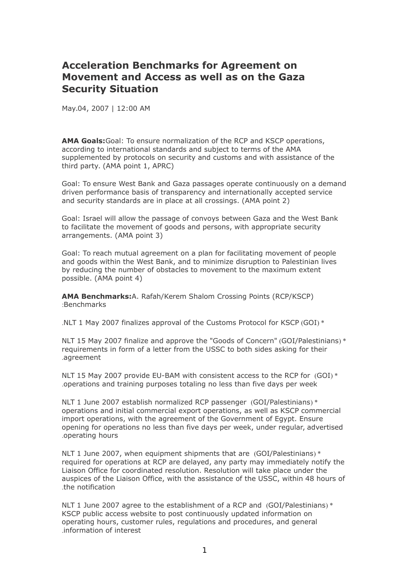## **Acceleration Benchmarks for Agreement on Movement and Access as well as on the Gaza Security Situation**

May.04, 2007 | 12:00 AM

**AMA Goals:**Goal: To ensure normalization of the RCP and KSCP operations, according to international standards and subject to terms of the AMA supplemented by protocols on security and customs and with assistance of the third party. (AMA point 1, APRC)

Goal: To ensure West Bank and Gaza passages operate continuously on a demand driven performance basis of transparency and internationally accepted service and security standards are in place at all crossings. (AMA point 2)

Goal: Israel will allow the passage of convoys between Gaza and the West Bank to facilitate the movement of goods and persons, with appropriate security arrangements. (AMA point 3)

Goal: To reach mutual agreement on a plan for facilitating movement of people and goods within the West Bank, and to minimize disruption to Palestinian lives by reducing the number of obstacles to movement to the maximum extent possible. (AMA point 4)

**AMA Benchmarks:**A. Rafah/Kerem Shalom Crossing Points (RCP/KSCP) :Benchmarks

.NLT 1 May 2007 finalizes approval of the Customs Protocol for KSCP (GOI) \*

NLT 15 May 2007 finalize and approve the "Goods of Concern" (GOI/Palestinians) \* requirements in form of a letter from the USSC to both sides asking for their .agreement

NLT 15 May 2007 provide EU-BAM with consistent access to the RCP for (GOI) \* .operations and training purposes totaling no less than five days per week

NLT 1 June 2007 establish normalized RCP passenger (GOI/Palestinians) \* operations and initial commercial export operations, as well as KSCP commercial import operations, with the agreement of the Government of Egypt. Ensure opening for operations no less than five days per week, under regular, advertised .operating hours

NLT 1 June 2007, when equipment shipments that are (GOI/Palestinians) \* required for operations at RCP are delayed, any party may immediately notify the Liaison Office for coordinated resolution. Resolution will take place under the auspices of the Liaison Office, with the assistance of the USSC, within 48 hours of .the notification

NLT 1 June 2007 agree to the establishment of a RCP and (GOI/Palestinians) \* KSCP public access website to post continuously updated information on operating hours, customer rules, regulations and procedures, and general .information of interest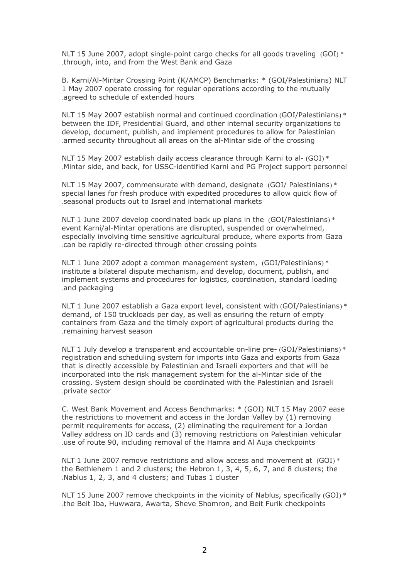NLT 15 June 2007, adopt single-point cargo checks for all goods traveling  $(GOI)$  \* .through, into, and from the West Bank and Gaza

B. Karni/Al-Mintar Crossing Point (K/AMCP) Benchmarks: \* (GOI/Palestinians) NLT 1 May 2007 operate crossing for regular operations according to the mutually .agreed to schedule of extended hours

NLT 15 May 2007 establish normal and continued coordination (GOI/Palestinians) \* between the IDF, Presidential Guard, and other internal security organizations to develop, document, publish, and implement procedures to allow for Palestinian .armed security throughout all areas on the al-Mintar side of the crossing

NLT 15 May 2007 establish daily access clearance through Karni to al- (GOI) \* .Mintar side, and back, for USSC-identified Karni and PG Project support personnel

NLT 15 May 2007, commensurate with demand, designate (GOI/ Palestinians) \* special lanes for fresh produce with expedited procedures to allow quick flow of .seasonal products out to Israel and international markets

NLT 1 June 2007 develop coordinated back up plans in the (GOI/Palestinians) \* event Karni/al-Mintar operations are disrupted, suspended or overwhelmed, especially involving time sensitive agricultural produce, where exports from Gaza .can be rapidly re-directed through other crossing points

NLT 1 June 2007 adopt a common management system, (GOI/Palestinians) \* institute a bilateral dispute mechanism, and develop, document, publish, and implement systems and procedures for logistics, coordination, standard loading .and packaging

NLT 1 June 2007 establish a Gaza export level, consistent with (GOI/Palestinians) \* demand, of 150 truckloads per day, as well as ensuring the return of empty containers from Gaza and the timely export of agricultural products during the .remaining harvest season

NLT 1 July develop a transparent and accountable on-line pre- (GOI/Palestinians) \* registration and scheduling system for imports into Gaza and exports from Gaza that is directly accessible by Palestinian and Israeli exporters and that will be incorporated into the risk management system for the al-Mintar side of the crossing. System design should be coordinated with the Palestinian and Israeli .private sector

C. West Bank Movement and Access Benchmarks: \* (GOI) NLT 15 May 2007 ease the restrictions to movement and access in the Jordan Valley by (1) removing permit requirements for access, (2) eliminating the requirement for a Jordan Valley address on ID cards and (3) removing restrictions on Palestinian vehicular .use of route 90, including removal of the Hamra and Al Auja checkpoints

NLT 1 June 2007 remove restrictions and allow access and movement at  $(GOI)$  \* the Bethlehem 1 and 2 clusters; the Hebron 1, 3, 4, 5, 6, 7, and 8 clusters; the .Nablus 1, 2, 3, and 4 clusters; and Tubas 1 cluster

NLT 15 June 2007 remove checkpoints in the vicinity of Nablus, specifically (GOI) \* .the Beit Iba, Huwwara, Awarta, Sheve Shomron, and Beit Furik checkpoints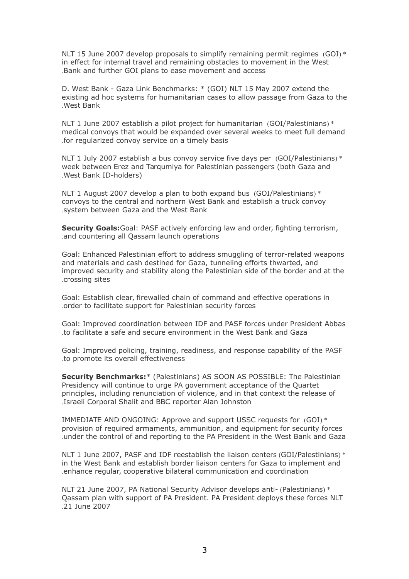NLT 15 June 2007 develop proposals to simplify remaining permit regimes (GOI) \* in effect for internal travel and remaining obstacles to movement in the West .Bank and further GOI plans to ease movement and access

D. West Bank - Gaza Link Benchmarks: \* (GOI) NLT 15 May 2007 extend the existing ad hoc systems for humanitarian cases to allow passage from Gaza to the .West Bank

NLT 1 June 2007 establish a pilot project for humanitarian (GOI/Palestinians) \* medical convoys that would be expanded over several weeks to meet full demand .for regularized convoy service on a timely basis

NLT 1 July 2007 establish a bus convoy service five days per (GOI/Palestinians) \* week between Erez and Tarqumiya for Palestinian passengers (both Gaza and .West Bank ID-holders)

NLT 1 August 2007 develop a plan to both expand bus (GOI/Palestinians) \* convoys to the central and northern West Bank and establish a truck convoy .system between Gaza and the West Bank

**Security Goals:**Goal: PASF actively enforcing law and order, fighting terrorism, .and countering all Qassam launch operations

Goal: Enhanced Palestinian effort to address smuggling of terror-related weapons and materials and cash destined for Gaza, tunneling efforts thwarted, and improved security and stability along the Palestinian side of the border and at the .crossing sites

Goal: Establish clear, firewalled chain of command and effective operations in .order to facilitate support for Palestinian security forces

Goal: Improved coordination between IDF and PASF forces under President Abbas .to facilitate a safe and secure environment in the West Bank and Gaza

Goal: Improved policing, training, readiness, and response capability of the PASF .to promote its overall effectiveness

**Security Benchmarks:**\* (Palestinians) AS SOON AS POSSIBLE: The Palestinian Presidency will continue to urge PA government acceptance of the Quartet principles, including renunciation of violence, and in that context the release of .Israeli Corporal Shalit and BBC reporter Alan Johnston

IMMEDIATE AND ONGOING: Approve and support USSC requests for (GOI) \* provision of required armaments, ammunition, and equipment for security forces .under the control of and reporting to the PA President in the West Bank and Gaza

NLT 1 June 2007, PASF and IDF reestablish the liaison centers (GOI/Palestinians) \* in the West Bank and establish border liaison centers for Gaza to implement and .enhance regular, cooperative bilateral communication and coordination

NLT 21 June 2007, PA National Security Advisor develops anti- (Palestinians) \* Qassam plan with support of PA President. PA President deploys these forces NLT .21 June 2007